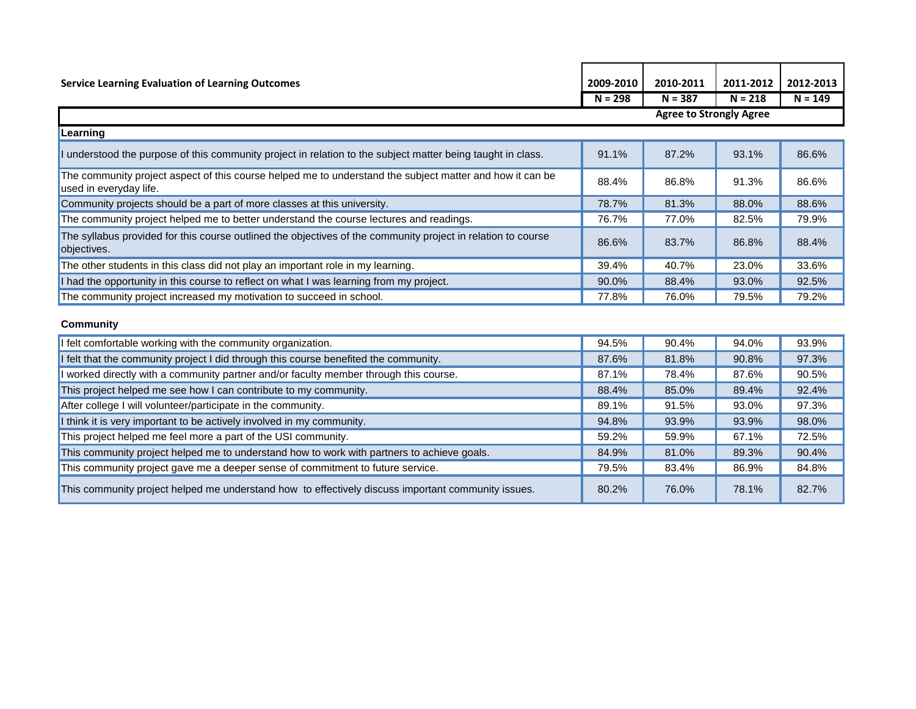| <b>Service Learning Evaluation of Learning Outcomes</b>                                                                            | 2009-2010                      | 2010-2011 | 2011-2012 | 2012-2013 |  |  |  |
|------------------------------------------------------------------------------------------------------------------------------------|--------------------------------|-----------|-----------|-----------|--|--|--|
|                                                                                                                                    | $N = 298$                      | $N = 387$ | $N = 218$ | $N = 149$ |  |  |  |
|                                                                                                                                    | <b>Agree to Strongly Agree</b> |           |           |           |  |  |  |
| Learning                                                                                                                           |                                |           |           |           |  |  |  |
| I understood the purpose of this community project in relation to the subject matter being taught in class.                        | 91.1%                          | 87.2%     | 93.1%     | 86.6%     |  |  |  |
| The community project aspect of this course helped me to understand the subject matter and how it can be<br>used in everyday life. | 88.4%                          | 86.8%     | 91.3%     | 86.6%     |  |  |  |
| Community projects should be a part of more classes at this university.                                                            | 78.7%                          | 81.3%     | 88.0%     | 88.6%     |  |  |  |
| The community project helped me to better understand the course lectures and readings.                                             | 76.7%                          | 77.0%     | 82.5%     | 79.9%     |  |  |  |
| The syllabus provided for this course outlined the objectives of the community project in relation to course<br>objectives.        | 86.6%                          | 83.7%     | 86.8%     | 88.4%     |  |  |  |
| The other students in this class did not play an important role in my learning.                                                    | 39.4%                          | 40.7%     | 23.0%     | 33.6%     |  |  |  |
| I had the opportunity in this course to reflect on what I was learning from my project.                                            | 90.0%                          | 88.4%     | 93.0%     | 92.5%     |  |  |  |
| The community project increased my motivation to succeed in school.                                                                | 77.8%                          | 76.0%     | 79.5%     | 79.2%     |  |  |  |
| <b>Community</b>                                                                                                                   |                                |           |           |           |  |  |  |
| felt comfortable working with the community organization.                                                                          | 94.5%                          | 90.4%     | 94.0%     | 93.9%     |  |  |  |
| I felt that the community project I did through this course benefited the community.                                               | 87.6%                          | 81.8%     | 90.8%     | 97.3%     |  |  |  |
| worked directly with a community partner and/or faculty member through this course.                                                | 87.1%                          | 78.4%     | 87.6%     | 90.5%     |  |  |  |
| This project helped me see how I can contribute to my community.                                                                   | 88.4%                          | 85.0%     | 89.4%     | 92.4%     |  |  |  |
| After college I will volunteer/participate in the community.                                                                       | 89.1%                          | 91.5%     | 93.0%     | 97.3%     |  |  |  |
| I think it is very important to be actively involved in my community.                                                              | 94.8%                          | 93.9%     | 93.9%     | 98.0%     |  |  |  |
| This project helped me feel more a part of the USI community.                                                                      | 59.2%                          | 59.9%     | 67.1%     | 72.5%     |  |  |  |
| This community project helped me to understand how to work with partners to achieve goals.                                         | 84.9%                          | 81.0%     | 89.3%     | 90.4%     |  |  |  |
| This community project gave me a deeper sense of commitment to future service.                                                     | 79.5%                          | 83.4%     | 86.9%     | 84.8%     |  |  |  |
| This community project helped me understand how to effectively discuss important community issues.                                 | 80.2%                          | 76.0%     | 78.1%     | 82.7%     |  |  |  |